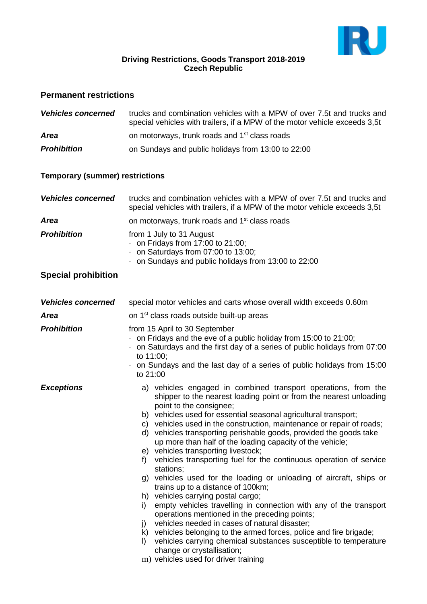

#### **Driving Restrictions, Goods Transport 2018-2019 Czech Republic**

### **Permanent restrictions**

| <b>Vehicles concerned</b> | trucks and combination vehicles with a MPW of over 7.5t and trucks and<br>special vehicles with trailers, if a MPW of the motor vehicle exceeds 3,5t |
|---------------------------|------------------------------------------------------------------------------------------------------------------------------------------------------|
| <b>Area</b>               | on motorways, trunk roads and 1 <sup>st</sup> class roads                                                                                            |
| <b>Prohibition</b>        | on Sundays and public holidays from 13:00 to 22:00                                                                                                   |

### **Temporary (summer) restrictions**

| <b>Vehicles concerned</b> | trucks and combination vehicles with a MPW of over 7.5t and trucks and<br>special vehicles with trailers, if a MPW of the motor vehicle exceeds 3,5t                   |
|---------------------------|------------------------------------------------------------------------------------------------------------------------------------------------------------------------|
| <b>Area</b>               | on motorways, trunk roads and 1 <sup>st</sup> class roads                                                                                                              |
| <b>Prohibition</b>        | from 1 July to 31 August<br>$\cdot$ on Fridays from 17:00 to 21:00;<br>$\cdot$ on Saturdays from 07:00 to 13:00;<br>on Sundays and public holidays from 13:00 to 22:00 |

# **Special prohibition**

| <b>Vehicles concerned</b> | special motor vehicles and carts whose overall width exceeds 0.60m                                                                                                                                                                                                                                                                                                                                                                                                                                                                                                                                                                                                                                                                                                                                                                                                                                                                                                                                                                                                                                                                              |  |
|---------------------------|-------------------------------------------------------------------------------------------------------------------------------------------------------------------------------------------------------------------------------------------------------------------------------------------------------------------------------------------------------------------------------------------------------------------------------------------------------------------------------------------------------------------------------------------------------------------------------------------------------------------------------------------------------------------------------------------------------------------------------------------------------------------------------------------------------------------------------------------------------------------------------------------------------------------------------------------------------------------------------------------------------------------------------------------------------------------------------------------------------------------------------------------------|--|
| <b>Area</b>               | on 1 <sup>st</sup> class roads outside built-up areas                                                                                                                                                                                                                                                                                                                                                                                                                                                                                                                                                                                                                                                                                                                                                                                                                                                                                                                                                                                                                                                                                           |  |
| <b>Prohibition</b>        | from 15 April to 30 September<br>$\cdot$ on Fridays and the eve of a public holiday from 15:00 to 21:00;<br>on Saturdays and the first day of a series of public holidays from 07:00<br>to 11:00;<br>on Sundays and the last day of a series of public holidays from 15:00<br>to 21:00                                                                                                                                                                                                                                                                                                                                                                                                                                                                                                                                                                                                                                                                                                                                                                                                                                                          |  |
| <b>Exceptions</b>         | a) vehicles engaged in combined transport operations, from the<br>shipper to the nearest loading point or from the nearest unloading<br>point to the consignee;<br>b) vehicles used for essential seasonal agricultural transport;<br>c) vehicles used in the construction, maintenance or repair of roads;<br>d) vehicles transporting perishable goods, provided the goods take<br>up more than half of the loading capacity of the vehicle;<br>e) vehicles transporting livestock;<br>vehicles transporting fuel for the continuous operation of service<br>f)<br>stations;<br>g) vehicles used for the loading or unloading of aircraft, ships or<br>trains up to a distance of 100km;<br>h) vehicles carrying postal cargo;<br>empty vehicles travelling in connection with any of the transport<br>i)<br>operations mentioned in the preceding points;<br>vehicles needed in cases of natural disaster;<br>j)<br>k) vehicles belonging to the armed forces, police and fire brigade;<br>vehicles carrying chemical substances susceptible to temperature<br>$\vert$<br>change or crystallisation;<br>m) vehicles used for driver training |  |